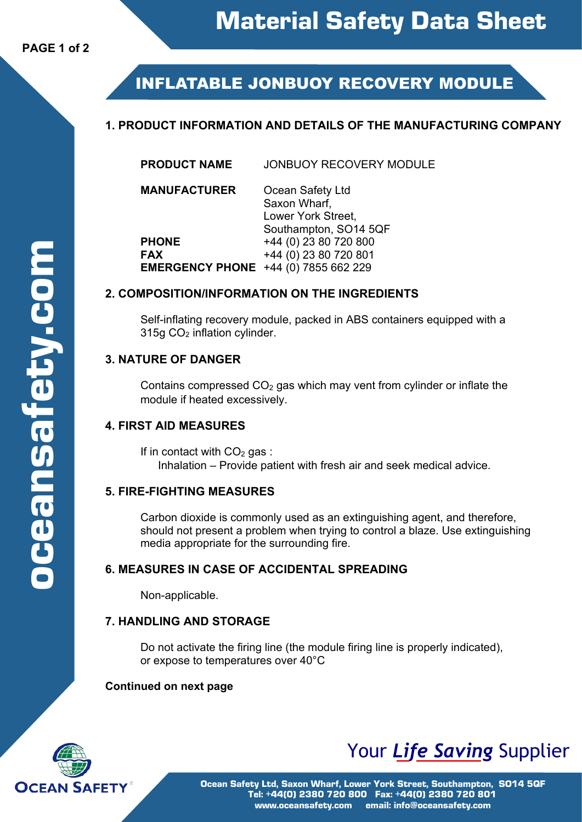# **INFLATABLE JONBUOY RECOVERY MODULE**

# **1. PRODUCT INFORMATION AND DETAILS OF THE MANUFACTURING COMPANY**

| <b>PRODUCT NAME</b> | <b>JONBUOY RECOVERY MODULE</b> |
|---------------------|--------------------------------|
|                     |                                |

**MANUFACTURER** Ocean Safety Ltd Saxon Wharf, Lower York Street, Southampton, SO14 5QF **PHONE** +44 (0) 23 80 720 800<br> **FAX** +44 (0) 23 80 720 801 **FAX** +44 (0) 23 80 720 801

# **EMERGENCY PHONE** +44 (0) 7855 662 229

#### **2. COMPOSITION/INFORMATION ON THE INGREDIENTS**

Self-inflating recovery module, packed in ABS containers equipped with a 315g CO2 inflation cylinder.

# **3. NATURE OF DANGER**

Contains compressed  $CO<sub>2</sub>$  gas which may vent from cylinder or inflate the module if heated excessively.

# **4. FIRST AID MEASURES**

If in contact with  $CO<sub>2</sub>$  gas : Inhalation – Provide patient with fresh air and seek medical advice.

# **5. FIRE-FIGHTING MEASURES**

Carbon dioxide is commonly used as an extinguishing agent, and therefore, should not present a problem when trying to control a blaze. Use extinguishing media appropriate for the surrounding fire.

# **6. MEASURES IN CASE OF ACCIDENTAL SPREADING**

Non-applicable.

# **7. HANDLING AND STORAGE**

Do not activate the firing line (the module firing line is properly indicated), or expose to temperatures over 40°C

# **Continued on next page**



# Your *Life Saving* Supplier

Ocean Safety Ltd, Saxon Wharf, Lower York Street, Southampton, SO14 5QF Tel: +44(0) 2380 720 800 Fax: +44(0) 2380 720 801 www.oceansafety.com email: info@oceansafety.com